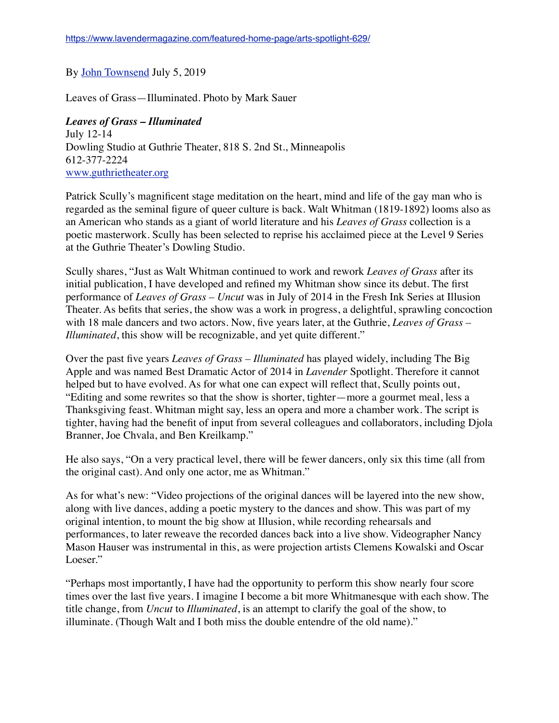## By [John Townsend](https://www.lavendermagazine.com/author/john-townsend/) July 5, 2019

Leaves of Grass—Illuminated. Photo by Mark Sauer

## *Leaves of Grass – Illuminated* July 12-14 Dowling Studio at Guthrie Theater, 818 S. 2nd St., Minneapolis 612-377-2224 [www.guthrietheater.org](http://www.guthrietheater.org/)

Patrick Scully's magnificent stage meditation on the heart, mind and life of the gay man who is regarded as the seminal figure of queer culture is back. Walt Whitman (1819-1892) looms also as an American who stands as a giant of world literature and his *Leaves of Grass* collection is a poetic masterwork. Scully has been selected to reprise his acclaimed piece at the Level 9 Series at the Guthrie Theater's Dowling Studio.

Scully shares, "Just as Walt Whitman continued to work and rework *Leaves of Grass* after its initial publication, I have developed and refined my Whitman show since its debut. The first performance of *Leaves of Grass – Uncut* was in July of 2014 in the Fresh Ink Series at Illusion Theater. As befits that series, the show was a work in progress, a delightful, sprawling concoction with 18 male dancers and two actors. Now, five years later, at the Guthrie, *Leaves of Grass – Illuminated*, this show will be recognizable, and yet quite different."

Over the past five years *Leaves of Grass – Illuminated* has played widely, including The Big Apple and was named Best Dramatic Actor of 2014 in *Lavender* Spotlight. Therefore it cannot helped but to have evolved. As for what one can expect will reflect that, Scully points out, "Editing and some rewrites so that the show is shorter, tighter—more a gourmet meal, less a Thanksgiving feast. Whitman might say, less an opera and more a chamber work. The script is tighter, having had the benefit of input from several colleagues and collaborators, including Djola Branner, Joe Chvala, and Ben Kreilkamp."

He also says, "On a very practical level, there will be fewer dancers, only six this time (all from the original cast). And only one actor, me as Whitman."

As for what's new: "Video projections of the original dances will be layered into the new show, along with live dances, adding a poetic mystery to the dances and show. This was part of my original intention, to mount the big show at Illusion, while recording rehearsals and performances, to later reweave the recorded dances back into a live show. Videographer Nancy Mason Hauser was instrumental in this, as were projection artists Clemens Kowalski and Oscar Loeser."

"Perhaps most importantly, I have had the opportunity to perform this show nearly four score times over the last five years. I imagine I become a bit more Whitmanesque with each show. The title change, from *Uncut* to *Illuminated*, is an attempt to clarify the goal of the show, to illuminate. (Though Walt and I both miss the double entendre of the old name)."